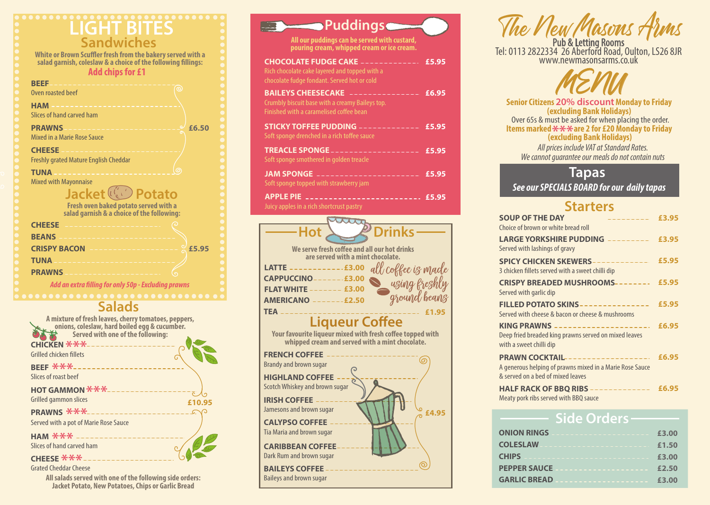## **LIGHT BITES Sandwiches**

| <b>TWW SHIPS IVE 4</b>                                                                                               |
|----------------------------------------------------------------------------------------------------------------------|
| <b>BEEF</b><br>ര<br>Oven roasted beef                                                                                |
| <b>HAM</b><br>Slices of hand carved ham                                                                              |
| <b>PRAWNS</b><br>£6.50<br>Mixed in a Marie Rose Sauce                                                                |
| <b>CHEESE</b><br><b>Freshly grated Mature English Cheddar</b>                                                        |
| <b>TUNA</b><br><b>Mixed with Mayonnaise</b>                                                                          |
| Jacket <sup>((1)</sup> Potato<br>Fresh oven baked potato served with a<br>salad garnish & a choice of the following: |
| <b>CHEESE</b>                                                                                                        |
| <b>BEANS</b>                                                                                                         |
| <b>CRISPY BACON</b><br>£5.95                                                                                         |
| <b>TUNA</b><br><u> 1950 - Antonio Alemania III</u>                                                                   |
| <b>PRAWNS</b>                                                                                                        |
| Add an aytug filling fou antu EAn Eveluding nugume                                                                   |

**A mixture of fresh leaves, cherry tomatoes, peppers, onions, coleslaw, hard boiled egg & cucumber. Served with one of the following: £10.95 CHICKEN \*\*\*\***<br>Grilled chicken fillets Grilled chicken fillets **BEEF \*\*\***<br>Slices of roast be Slices of roast beef **HOT GAMMON \*\*\*** Grilled gammon slices

**PRAWNS \*\*\*** 

**Tapas**

*See our SPECIALS BOARD for our daily tapas*

**ONION RINGS COLESLAW CHIPS PEPPER SAUCE**

### **Side Orders GARLIC BREAD EXAMPLE 23.00 £2.50 £3.00 £1.50 £3.00**

### **Salads**

**All salads served with one of the following side orders: Jacket Potato, New Potatoes, Chips or Garlic Bread**

Grated Cheddar Cheese

Your favourite liqueur mixed with fresh coffee topped with **whipped cream and served with a mint chocolate.**

Served with a pot of Marie Rose Sauce

Slices of hand carved ham

### **Starters**

| ORKSHIRE PUDDING --------- £3.95         |
|------------------------------------------|
| HICKEN SKEWERS------------ £5.95         |
| <b>BREADED MUSHROOMS-------- £5.95</b>   |
| <b>OTATO SKINS---------------- £5.95</b> |
|                                          |
|                                          |
|                                          |
| COCKTAIL------------------- £6.95        |
|                                          |
| CK OF BBQ RIBS ------------- £6.95       |
|                                          |
|                                          |

**White or Brown Scuffler fresh from the bakery served with a** salad garnish, coleslaw & a choice of the following fillings: **Add chips for £1**

> **Items marked**  $\mathcal{F} \mathcal{F} \mathcal{F}$  **are 2 for £20 Monday to Friday<br>(excluding Bank Holidays) (excluding Bank Holidays)**

*All prices include VAT at Standard Rates. We cannot guarantee our meals do not contain nuts*

**SOUP OF** Choice of bre

**LARGE YORKS** Served with

**SPICY CH** 3 chicken fill

**CRISPY B** Served with

**FILLED P** Served with

**KING PRA** Deep fried b with a sweet

**PRAWN** A generous & served on

**HALF RA** Meaty pork

## **CHEESE \*\*\***



**Liqueur Coffee** 

## **HAM \*\*\***

| <b>FRENCH COFFEE ---</b><br><b>Brandy and brown sugar</b>       |  |
|-----------------------------------------------------------------|--|
| <b>HIGHLAND COFFEE</b><br>Scotch Whiskey and brown sugar        |  |
| <b>IRISH COFFEE ____</b><br>Jamesons and brown sugar            |  |
| <b>CALYPSO COFFEE -</b><br>Tia Maria and brown sugar            |  |
| <b>CARIBBEAN COFFEE</b><br>Dark Rum and brown sugar             |  |
| <b>BAILEYS COFFEE - - - -</b><br><b>Baileys and brown sugar</b> |  |





## **(excluding Bank Holidays)** Over 65s & must be asked for when placing the order.

| <b>Puddings</b>                                                                                                             |       |
|-----------------------------------------------------------------------------------------------------------------------------|-------|
| All our puddings can be served with custard,<br>pouring cream, whipped cream or ice cream.                                  |       |
| <b>CHOCOLATE FUDGE CAKE</b><br>Rich chocolate cake layered and topped with a<br>chocolate fudge fondant. Served hot or cold | £5.95 |
| <b>BAILEYS CHEESECAKE</b><br>Crumbly biscuit base with a creamy Baileys top.<br>Finished with a caramelised coffee bean     | £6.95 |
| <b>STICKY TOFFEE PUDDING -</b><br>Soft sponge drenched in a rich toffee sauce                                               | £5.95 |
| <b>TREACLE SPONGE</b><br>Soft sponge smothered in golden treacle                                                            | £5.95 |
| <b>JAM SPONGE</b><br>Soft sponge topped with strawberry jam                                                                 | £5.95 |
| <b>APPLE PIE</b><br>Juicy apples in a rich shortcrust pastry                                                                | £5.95 |



*Add an extra lling for only 50p - Excluding prawns*